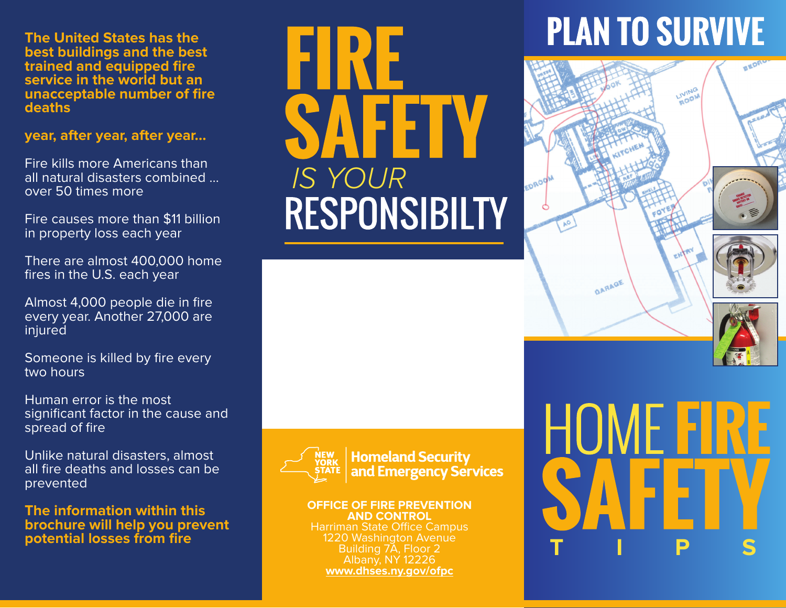**The United States has the best buildings and the best trained and equipped fire service in the world but an unacceptable number of fire deaths**

#### **year, after year, after year...**

Fire kills more Americans than all natural disasters combined … over 50 times more

Fire causes more than \$11 billion in property loss each year

There are almost 400,000 home fires in the U.S. each year

Almost 4,000 people die in fire every year. Another 27,000 are injured

Someone is killed by fire every two hours

Human error is the most significant factor in the cause and spread of fire

Unlike natural disasters, almost all fire deaths and losses can be prevented

**The information within this brochure will help you prevent potential losses from fire**

*IS YOUR*



**Homeland Security** and Emergency Services

#### **OFFICE OF FIRE PREVENTION AND CONTROL**

Harriman State Office Campus 1220 Washington Avenue Building 7A, Floor 2 Albany, NY 12226 **www.dhses.ny.gov/ofpc**

# **PLAN TO SURVIVE**